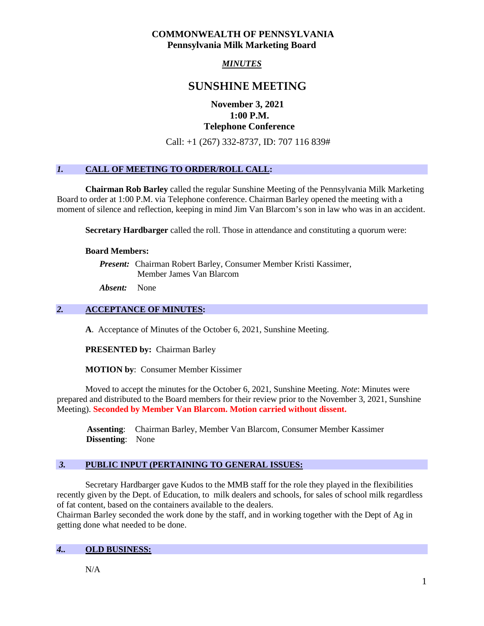### **COMMONWEALTH OF PENNSYLVANIA Pennsylvania Milk Marketing Board**

# *MINUTES*

# **SUNSHINE MEETING**

## **November 3, 2021 1:00 P.M. Telephone Conference**

Call: +1 (267) 332-8737, ID: 707 116 839#

## *1.* **CALL OF MEETING TO ORDER/ROLL CALL:**

**Chairman Rob Barley** called the regular Sunshine Meeting of the Pennsylvania Milk Marketing Board to order at 1:00 P.M. via Telephone conference. Chairman Barley opened the meeting with a moment of silence and reflection, keeping in mind Jim Van Blarcom's son in law who was in an accident.

**Secretary Hardbarger** called the roll. Those in attendance and constituting a quorum were:

#### **Board Members:**

*Present:* Chairman Robert Barley, Consumer Member Kristi Kassimer, Member James Van Blarcom

*Absent:* None

### *2.* **ACCEPTANCE OF MINUTES:**

**A**. Acceptance of Minutes of the October 6, 2021, Sunshine Meeting.

**PRESENTED by:** Chairman Barley

**MOTION by**: Consumer Member Kissimer

Moved to accept the minutes for the October 6, 2021, Sunshine Meeting. *Note*: Minutes were prepared and distributed to the Board members for their review prior to the November 3, 2021, Sunshine Meeting). **Seconded by Member Van Blarcom. Motion carried without dissent.**

 **Assenting**: Chairman Barley, Member Van Blarcom, Consumer Member Kassimer **Dissenting**: None

### *3.* **PUBLIC INPUT (PERTAINING TO GENERAL ISSUES:**

Secretary Hardbarger gave Kudos to the MMB staff for the role they played in the flexibilities recently given by the Dept. of Education, to milk dealers and schools, for sales of school milk regardless of fat content, based on the containers available to the dealers.

Chairman Barley seconded the work done by the staff, and in working together with the Dept of Ag in getting done what needed to be done.

### *4..* **OLD BUSINESS:**

 $N/A$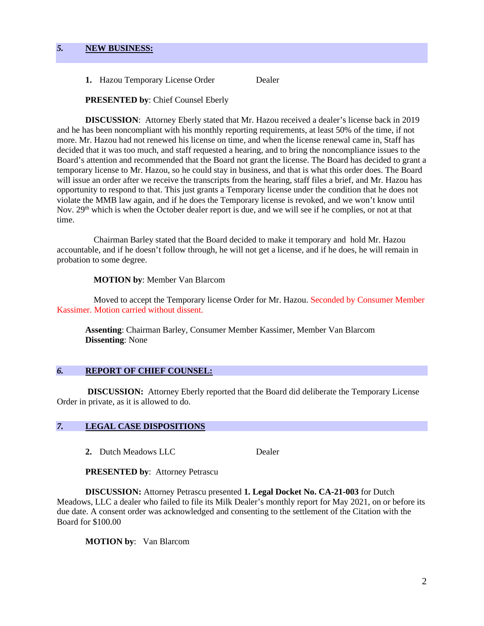1. Hazou Temporary License Order Dealer

### **PRESENTED by**: Chief Counsel Eberly

 **DISCUSSION**: Attorney Eberly stated that Mr. Hazou received a dealer's license back in 2019 and he has been noncompliant with his monthly reporting requirements, at least 50% of the time, if not more. Mr. Hazou had not renewed his license on time, and when the license renewal came in, Staff has decided that it was too much, and staff requested a hearing, and to bring the noncompliance issues to the Board's attention and recommended that the Board not grant the license. The Board has decided to grant a temporary license to Mr. Hazou, so he could stay in business, and that is what this order does. The Board will issue an order after we receive the transcripts from the hearing, staff files a brief, and Mr. Hazou has opportunity to respond to that. This just grants a Temporary license under the condition that he does not violate the MMB law again, and if he does the Temporary license is revoked, and we won't know until Nov. 29<sup>th</sup> which is when the October dealer report is due, and we will see if he complies, or not at that time.

Chairman Barley stated that the Board decided to make it temporary and hold Mr. Hazou accountable, and if he doesn't follow through, he will not get a license, and if he does, he will remain in probation to some degree.

#### **MOTION by**: Member Van Blarcom

Moved to accept the Temporary license Order for Mr. Hazou. Seconded by Consumer Member Kassimer. Motion carried without dissent.

**Assenting**: Chairman Barley, Consumer Member Kassimer, Member Van Blarcom **Dissenting**: None

#### *6.* **REPORT OF CHIEF COUNSEL:**

**DISCUSSION:** Attorney Eberly reported that the Board did deliberate the Temporary License Order in private, as it is allowed to do.

### *7.* **LEGAL CASE DISPOSITIONS**

2. Dutch Meadows LLC Dealer

**PRESENTED by**: Attorney Petrascu

**DISCUSSION:** Attorney Petrascu presented **1. Legal Docket No. CA-21-003** for Dutch Meadows, LLC a dealer who failed to file its Milk Dealer's monthly report for May 2021, on or before its due date. A consent order was acknowledged and consenting to the settlement of the Citation with the Board for \$100.00

**MOTION by**: Van Blarcom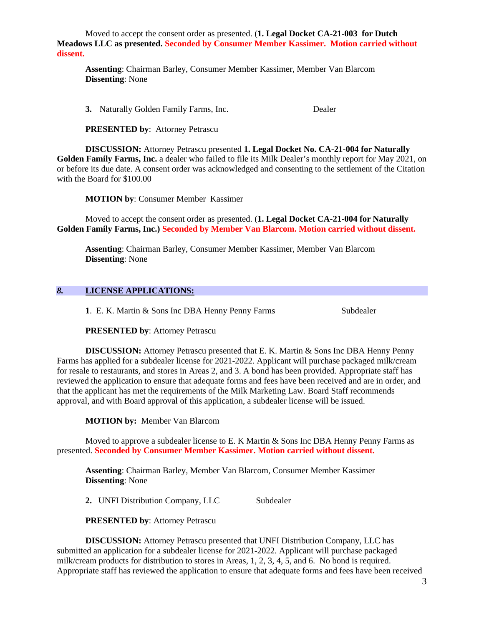Moved to accept the consent order as presented. (**1. Legal Docket CA-21-003 for Dutch Meadows LLC as presented. Seconded by Consumer Member Kassimer. Motion carried without dissent.** 

**Assenting**: Chairman Barley, Consumer Member Kassimer, Member Van Blarcom **Dissenting**: None

**3.** Naturally Golden Family Farms, Inc. Dealer

**PRESENTED by**: Attorney Petrascu

**DISCUSSION:** Attorney Petrascu presented **1. Legal Docket No. CA-21-004 for Naturally Golden Family Farms, Inc.** a dealer who failed to file its Milk Dealer's monthly report for May 2021, on or before its due date. A consent order was acknowledged and consenting to the settlement of the Citation with the Board for \$100.00

**MOTION by**: Consumer Member Kassimer

Moved to accept the consent order as presented. (**1. Legal Docket CA-21-004 for Naturally Golden Family Farms, Inc.) Seconded by Member Van Blarcom. Motion carried without dissent.** 

**Assenting**: Chairman Barley, Consumer Member Kassimer, Member Van Blarcom **Dissenting**: None

#### *8.* **LICENSE APPLICATIONS:**

**1**. E. K. Martin & Sons Inc DBA Henny Penny Farms Subdealer

**PRESENTED by**: Attorney Petrascu

**DISCUSSION:** Attorney Petrascu presented that E. K. Martin & Sons Inc DBA Henny Penny Farms has applied for a subdealer license for 2021-2022. Applicant will purchase packaged milk/cream for resale to restaurants, and stores in Areas 2, and 3. A bond has been provided. Appropriate staff has reviewed the application to ensure that adequate forms and fees have been received and are in order, and that the applicant has met the requirements of the Milk Marketing Law. Board Staff recommends approval, and with Board approval of this application, a subdealer license will be issued.

**MOTION by:** Member Van Blarcom

Moved to approve a subdealer license to E. K Martin & Sons Inc DBA Henny Penny Farms as presented. **Seconded by Consumer Member Kassimer. Motion carried without dissent.**

**Assenting**: Chairman Barley, Member Van Blarcom, Consumer Member Kassimer **Dissenting**: None

2. UNFI Distribution Company, LLC Subdealer

**PRESENTED by**: Attorney Petrascu

**DISCUSSION:** Attorney Petrascu presented that UNFI Distribution Company, LLC has submitted an application for a subdealer license for 2021-2022. Applicant will purchase packaged milk/cream products for distribution to stores in Areas, 1, 2, 3, 4, 5, and 6. No bond is required. Appropriate staff has reviewed the application to ensure that adequate forms and fees have been received